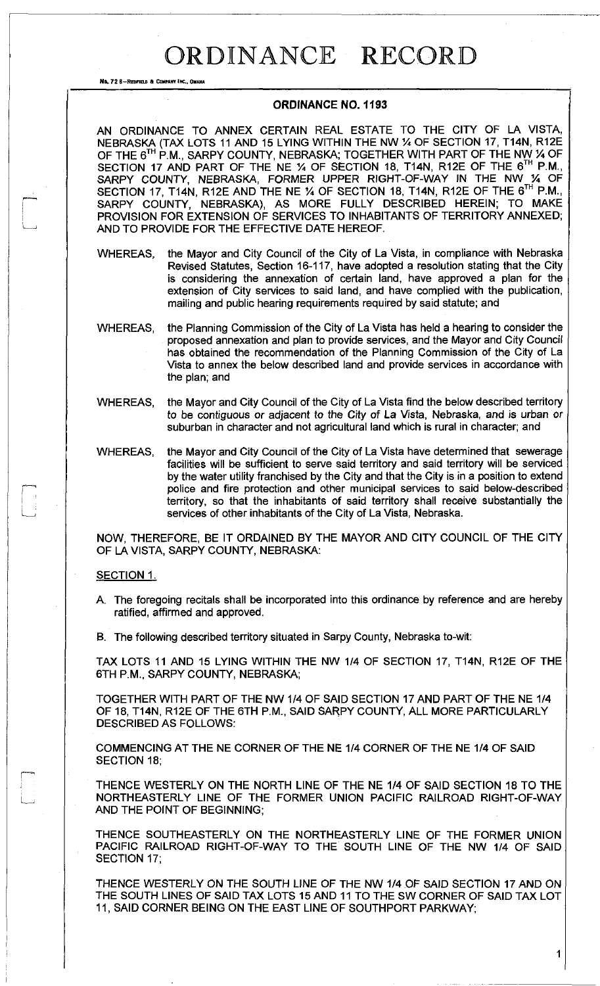## ORDINANCE RECORD

No. 72 8-REDFIELD & COMPANY INC., OMAHA

## **ORDINANCE NO. 1193**

AN ORDINANCE TO ANNEX CERTAIN REAL ESTATE TO THE CITY OF LA VISTA, NEBRASKA (TAX LOTS 11 AND 15 LYING WITHIN THE NW % OF SECTION 17, T14N, R12E OF THE 6<sup>TH</sup> P.M., SARPY COUNTY, NEBRASKA; TOGETHER WITH PART OF THE NW % OF SECTION 17 AND PART OF THE NE % OF SECTION 18, T14N, R12E OF THE 6TH P.M., SARPY COUNTY, NEBRASKA, FORMER UPPER RIGHT-OF-WAY IN THE NW 1/4 OF SECTION 17, T14N, R12E AND THE NE % OF SECTION 18, T14N, R12E OF THE 6™ P.M., SARPY COUNTY, NEBRASKA), AS MORE FULLY DESCRIBED HEREIN; TO MAKE PROVISION FOR EXTENSION OF SERVICES TO INHABITANTS OF TERRITORY ANNEXED; AND TO PROVIDE FOR THE EFFECTIVE DATE HEREOF.

- WHEREAS, the Mayor and City Council of the City of La Vista, in compliance with Nebraska Revised Statutes, Section 16-117, have adopted a resolution stating that the City is considering the annexation of certain land, have approved a plan for the extension of City services to said land, and have complied with the publication, mailing and public hearing requirements required by said statute; and
- WHEREAS, the Planning Commission of the City of La Vista has held a hearing to consider the proposed annexation and plan to provide services, and the Mayor and City Council has obtained the recommendation of the Planning Commission of the City of La Vista to annex the below described land and provide services in accordance with the plan; and
- WHEREAS, the Mayor and City Council of the City of La Vista find the below described territory to be contiguous or adjacent to the City of La Vista, Nebraska, and is urban or suburban in character and not agricultural land which is rural in character; and
- WHEREAS, the Mayor and City Council of the City of La Vista have determined that sewerage facilities will be sufficient to serve said territory and said territory will be serviced by the water utility franchised by the City and that the City is in a position to extend police and fire protection and other municipal services to said below-described territory, so that the inhabitants of said territory shall receive substantially the services of other inhabitants of the City of La Vista, Nebraska.

NOW, THEREFORE, BE IT ORDAINED BY THE MAYOR AND CITY COUNCIL OF THE CITY OF LA VISTA, SARPY COUNTY, NEBRASKA:

## SECTION 1.

- A. The foregoing recitals shall be incorporated into this ordinance by reference and are hereby ratified, affirmed and approved.
- B. The following described territory situated in Sarpy County, Nebraska to-wit:

TAX LOTS 11 AND 15 LYING WITHIN THE NW 1/4 OF SECTION 17, T14N, R12E OF THE 6TH P.M., SARPY COUNTY, NEBRASKA;

TOGETHER WITH PART OF THE NW 1/4 OF SAID SECTION 17 AND PART OF THE NE 1/4 OF 18, T14N, R12E OF THE 6TH P.M., SAID SARPY COUNTY, ALL MORE PARTICULARLY DESCRIBED AS FOLLOWS:

COMMENCING AT THE NE CORNER OF THE NE 1/4 CORNER OF THE NE 1/4 OF SAID SECTION 18;

THENCE WESTERLY ON THE NORTH LINE OF THE NE 1/4 OF SAID SECTION 18 TO THE NORTHEASTERLY LINE OF THE FORMER UNION PACIFIC RAILROAD RIGHT-OF-WAY AND THE POINT OF BEGINNING;

THENCE SOUTHEASTERLY ON THE NORTHEASTERLY LINE OF THE FORMER UNION PACIFIC RAILROAD RIGHT-OF-WAY TO THE SOUTH LINE OF THE NW 1/4 OF SAID SECTION 17;

THENCE WESTERLY ON THE SOUTH LINE OF THE NW 1/4 OF SAID SECTION 17 AND ON THE SOUTH LINES OF SAID TAX LOTS 15 AND 11 TO THE SW CORNER OF SAID TAX LOT 11, SAID CORNER BEING ON THE EAST LINE OF SOUTHPORT PARKWAY;